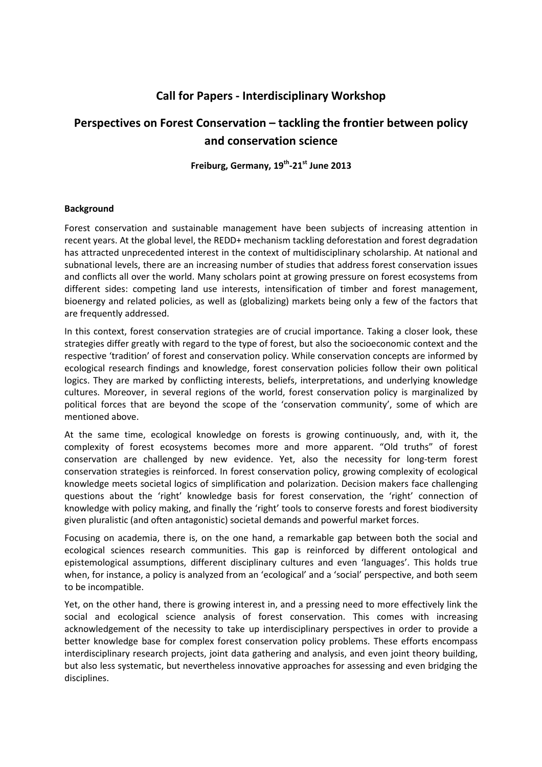## **Call for Papers - Interdisciplinary Workshop**

# **Perspectives on Forest Conservation – tackling the frontier between policy and conservation science**

**Freiburg, Germany, 19th-21st June 2013** 

## **Background**

Forest conservation and sustainable management have been subjects of increasing attention in recent years. At the global level, the REDD+ mechanism tackling deforestation and forest degradation has attracted unprecedented interest in the context of multidisciplinary scholarship. At national and subnational levels, there are an increasing number of studies that address forest conservation issues and conflicts all over the world. Many scholars point at growing pressure on forest ecosystems from different sides: competing land use interests, intensification of timber and forest management, bioenergy and related policies, as well as (globalizing) markets being only a few of the factors that are frequently addressed.

In this context, forest conservation strategies are of crucial importance. Taking a closer look, these strategies differ greatly with regard to the type of forest, but also the socioeconomic context and the respective 'tradition' of forest and conservation policy. While conservation concepts are informed by ecological research findings and knowledge, forest conservation policies follow their own political logics. They are marked by conflicting interests, beliefs, interpretations, and underlying knowledge cultures. Moreover, in several regions of the world, forest conservation policy is marginalized by political forces that are beyond the scope of the 'conservation community', some of which are mentioned above.

At the same time, ecological knowledge on forests is growing continuously, and, with it, the complexity of forest ecosystems becomes more and more apparent. "Old truths" of forest conservation are challenged by new evidence. Yet, also the necessity for long-term forest conservation strategies is reinforced. In forest conservation policy, growing complexity of ecological knowledge meets societal logics of simplification and polarization. Decision makers face challenging questions about the 'right' knowledge basis for forest conservation, the 'right' connection of knowledge with policy making, and finally the 'right' tools to conserve forests and forest biodiversity given pluralistic (and often antagonistic) societal demands and powerful market forces.

Focusing on academia, there is, on the one hand, a remarkable gap between both the social and ecological sciences research communities. This gap is reinforced by different ontological and epistemological assumptions, different disciplinary cultures and even 'languages'. This holds true when, for instance, a policy is analyzed from an 'ecological' and a 'social' perspective, and both seem to be incompatible.

Yet, on the other hand, there is growing interest in, and a pressing need to more effectively link the social and ecological science analysis of forest conservation. This comes with increasing acknowledgement of the necessity to take up interdisciplinary perspectives in order to provide a better knowledge base for complex forest conservation policy problems. These efforts encompass interdisciplinary research projects, joint data gathering and analysis, and even joint theory building, but also less systematic, but nevertheless innovative approaches for assessing and even bridging the disciplines.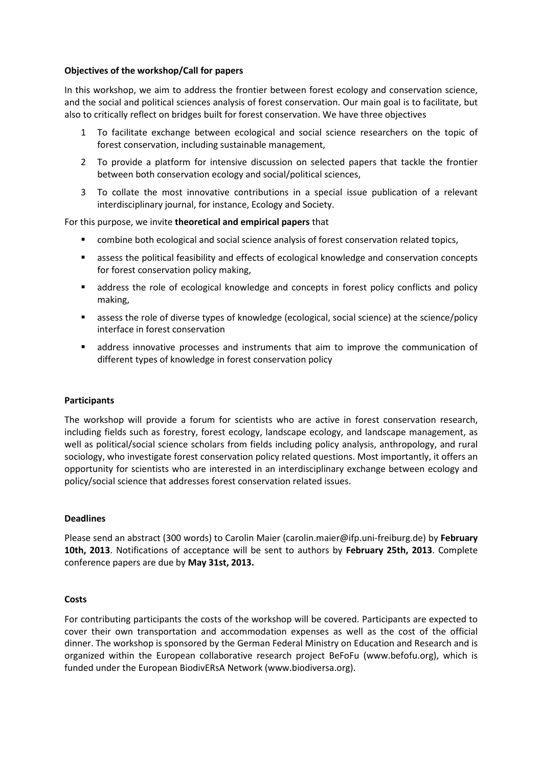## **Objectives of the workshop/Call for papers**

In this workshop, we aim to address the frontier between forest ecology and conservation science, and the social and political sciences analysis of forest conservation. Our main goal is to facilitate, but also to critically reflect on bridges built for forest conservation. We have three objectives

- 1 To facilitate exchange between ecological and social science researchers on the topic of forest conservation, including sustainable management,
- 2 To provide a platform for intensive discussion on selected papers that tackle the frontier between both conservation ecology and social/political sciences,
- 3 To collate the most innovative contributions in a special issue publication of a relevant interdisciplinary journal, for instance, Ecology and Society.

## For this purpose, we invite **theoretical and empirical papers** that

- combine both ecological and social science analysis of forest conservation related topics,
- assess the political feasibility and effects of ecological knowledge and conservation concepts for forest conservation policy making,
- address the role of ecological knowledge and concepts in forest policy conflicts and policy making,
- assess the role of diverse types of knowledge (ecological, social science) at the science/policy interface in forest conservation
- address innovative processes and instruments that aim to improve the communication of different types of knowledge in forest conservation policy

#### **Participants**

The workshop will provide a forum for scientists who are active in forest conservation research, including fields such as forestry, forest ecology, landscape ecology, and landscape management, as well as political/social science scholars from fields including policy analysis, anthropology, and rural sociology, who investigate forest conservation policy related questions. Most importantly, it offers an opportunity for scientists who are interested in an interdisciplinary exchange between ecology and policy/social science that addresses forest conservation related issues.

#### **Deadlines**

Please send an abstract (300 words) to Carolin Maier (carolin.maier@ifp.uni-freiburg.de) by **February 10th, 2013**. Notifications of acceptance will be sent to authors by **February 25th, 2013**. Complete conference papers are due by **May 31st, 2013.** 

#### **Costs**

For contributing participants the costs of the workshop will be covered. Participants are expected to cover their own transportation and accommodation expenses as well as the cost of the official dinner. The workshop is sponsored by the German Federal Ministry on Education and Research and is organized within the European collaborative research project BeFoFu (www.befofu.org), which is funded under the European BiodivERsA Network (www.biodiversa.org).